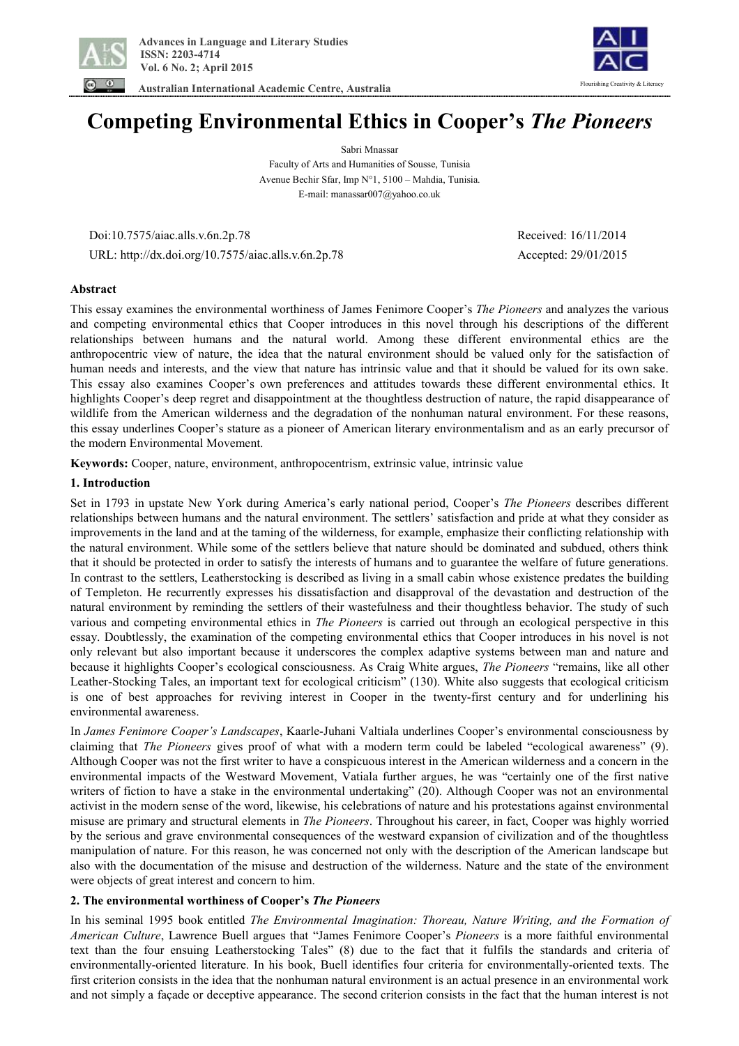

 **Australian International Academic Centre, Australia** 



# **Competing Environmental Ethics in Cooper's** *The Pioneers*

Sabri Mnassar Faculty of Arts and Humanities of Sousse, Tunisia Avenue Bechir Sfar, Imp N°1, 5100 – Mahdia, Tunisia. E-mail: manassar007@yahoo.co.uk

 Doi:10.7575/aiac.alls.v.6n.2p.78 Received: 16/11/2014 URL: http://dx.doi.org/10.7575/aiac.alls.v.6n.2p.78 Accepted: 29/01/2015

# **Abstract**

This essay examines the environmental worthiness of James Fenimore Cooper's *The Pioneers* and analyzes the various and competing environmental ethics that Cooper introduces in this novel through his descriptions of the different relationships between humans and the natural world. Among these different environmental ethics are the anthropocentric view of nature, the idea that the natural environment should be valued only for the satisfaction of human needs and interests, and the view that nature has intrinsic value and that it should be valued for its own sake. This essay also examines Cooper's own preferences and attitudes towards these different environmental ethics. It highlights Cooper's deep regret and disappointment at the thoughtless destruction of nature, the rapid disappearance of wildlife from the American wilderness and the degradation of the nonhuman natural environment. For these reasons, this essay underlines Cooper's stature as a pioneer of American literary environmentalism and as an early precursor of the modern Environmental Movement.

**Keywords:** Cooper, nature, environment, anthropocentrism, extrinsic value, intrinsic value

# **1. Introduction**

Set in 1793 in upstate New York during America's early national period, Cooper's *The Pioneers* describes different relationships between humans and the natural environment. The settlers' satisfaction and pride at what they consider as improvements in the land and at the taming of the wilderness, for example, emphasize their conflicting relationship with the natural environment. While some of the settlers believe that nature should be dominated and subdued, others think that it should be protected in order to satisfy the interests of humans and to guarantee the welfare of future generations. In contrast to the settlers, Leatherstocking is described as living in a small cabin whose existence predates the building of Templeton. He recurrently expresses his dissatisfaction and disapproval of the devastation and destruction of the natural environment by reminding the settlers of their wastefulness and their thoughtless behavior. The study of such various and competing environmental ethics in *The Pioneers* is carried out through an ecological perspective in this essay. Doubtlessly, the examination of the competing environmental ethics that Cooper introduces in his novel is not only relevant but also important because it underscores the complex adaptive systems between man and nature and because it highlights Cooper's ecological consciousness. As Craig White argues, *The Pioneers* "remains, like all other Leather-Stocking Tales, an important text for ecological criticism" (130). White also suggests that ecological criticism is one of best approaches for reviving interest in Cooper in the twenty-first century and for underlining his environmental awareness.

In *James Fenimore Cooper's Landscapes*, Kaarle-Juhani Valtiala underlines Cooper's environmental consciousness by claiming that *The Pioneers* gives proof of what with a modern term could be labeled "ecological awareness" (9). Although Cooper was not the first writer to have a conspicuous interest in the American wilderness and a concern in the environmental impacts of the Westward Movement, Vatiala further argues, he was "certainly one of the first native writers of fiction to have a stake in the environmental undertaking" (20). Although Cooper was not an environmental activist in the modern sense of the word, likewise, his celebrations of nature and his protestations against environmental misuse are primary and structural elements in *The Pioneers*. Throughout his career, in fact, Cooper was highly worried by the serious and grave environmental consequences of the westward expansion of civilization and of the thoughtless manipulation of nature. For this reason, he was concerned not only with the description of the American landscape but also with the documentation of the misuse and destruction of the wilderness. Nature and the state of the environment were objects of great interest and concern to him.

# **2. The environmental worthiness of Cooper's** *The Pioneers*

In his seminal 1995 book entitled *The Environmental Imagination: Thoreau, Nature Writing, and the Formation of American Culture*, Lawrence Buell argues that "James Fenimore Cooper's *Pioneers* is a more faithful environmental text than the four ensuing Leatherstocking Tales" (8) due to the fact that it fulfils the standards and criteria of environmentally-oriented literature. In his book, Buell identifies four criteria for environmentally-oriented texts. The first criterion consists in the idea that the nonhuman natural environment is an actual presence in an environmental work and not simply a façade or deceptive appearance. The second criterion consists in the fact that the human interest is not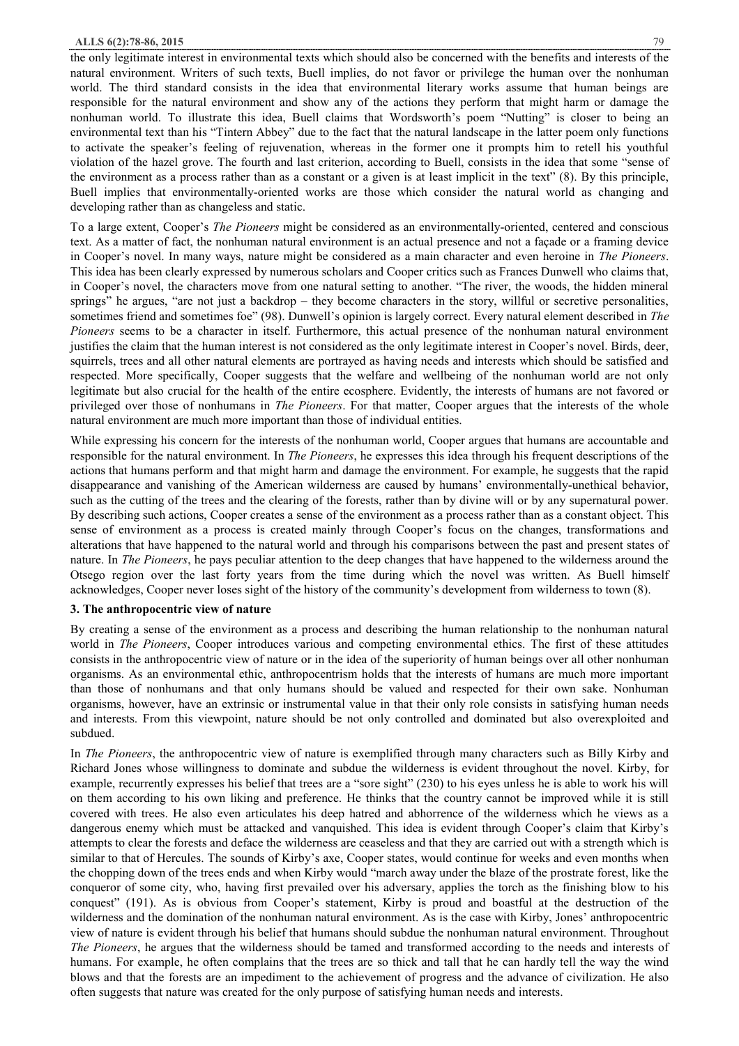the only legitimate interest in environmental texts which should also be concerned with the benefits and interests of the natural environment. Writers of such texts, Buell implies, do not favor or privilege the human over the nonhuman world. The third standard consists in the idea that environmental literary works assume that human beings are responsible for the natural environment and show any of the actions they perform that might harm or damage the nonhuman world. To illustrate this idea, Buell claims that Wordsworth's poem "Nutting" is closer to being an environmental text than his "Tintern Abbey" due to the fact that the natural landscape in the latter poem only functions to activate the speaker's feeling of rejuvenation, whereas in the former one it prompts him to retell his youthful violation of the hazel grove. The fourth and last criterion, according to Buell, consists in the idea that some "sense of the environment as a process rather than as a constant or a given is at least implicit in the text" (8). By this principle, Buell implies that environmentally-oriented works are those which consider the natural world as changing and developing rather than as changeless and static.

To a large extent, Cooper's *The Pioneers* might be considered as an environmentally-oriented, centered and conscious text. As a matter of fact, the nonhuman natural environment is an actual presence and not a façade or a framing device in Cooper's novel. In many ways, nature might be considered as a main character and even heroine in *The Pioneers*. This idea has been clearly expressed by numerous scholars and Cooper critics such as Frances Dunwell who claims that, in Cooper's novel, the characters move from one natural setting to another. "The river, the woods, the hidden mineral springs" he argues, "are not just a backdrop – they become characters in the story, willful or secretive personalities, sometimes friend and sometimes foe" (98). Dunwell's opinion is largely correct. Every natural element described in *The Pioneers* seems to be a character in itself. Furthermore, this actual presence of the nonhuman natural environment justifies the claim that the human interest is not considered as the only legitimate interest in Cooper's novel. Birds, deer, squirrels, trees and all other natural elements are portrayed as having needs and interests which should be satisfied and respected. More specifically, Cooper suggests that the welfare and wellbeing of the nonhuman world are not only legitimate but also crucial for the health of the entire ecosphere. Evidently, the interests of humans are not favored or privileged over those of nonhumans in *The Pioneers*. For that matter, Cooper argues that the interests of the whole natural environment are much more important than those of individual entities.

While expressing his concern for the interests of the nonhuman world, Cooper argues that humans are accountable and responsible for the natural environment. In *The Pioneers*, he expresses this idea through his frequent descriptions of the actions that humans perform and that might harm and damage the environment. For example, he suggests that the rapid disappearance and vanishing of the American wilderness are caused by humans' environmentally-unethical behavior, such as the cutting of the trees and the clearing of the forests, rather than by divine will or by any supernatural power. By describing such actions, Cooper creates a sense of the environment as a process rather than as a constant object. This sense of environment as a process is created mainly through Cooper's focus on the changes, transformations and alterations that have happened to the natural world and through his comparisons between the past and present states of nature. In *The Pioneers*, he pays peculiar attention to the deep changes that have happened to the wilderness around the Otsego region over the last forty years from the time during which the novel was written. As Buell himself acknowledges, Cooper never loses sight of the history of the community's development from wilderness to town (8).

## **3. The anthropocentric view of nature**

By creating a sense of the environment as a process and describing the human relationship to the nonhuman natural world in *The Pioneers*, Cooper introduces various and competing environmental ethics. The first of these attitudes consists in the anthropocentric view of nature or in the idea of the superiority of human beings over all other nonhuman organisms. As an environmental ethic, anthropocentrism holds that the interests of humans are much more important than those of nonhumans and that only humans should be valued and respected for their own sake. Nonhuman organisms, however, have an extrinsic or instrumental value in that their only role consists in satisfying human needs and interests. From this viewpoint, nature should be not only controlled and dominated but also overexploited and subdued.

In *The Pioneers*, the anthropocentric view of nature is exemplified through many characters such as Billy Kirby and Richard Jones whose willingness to dominate and subdue the wilderness is evident throughout the novel. Kirby, for example, recurrently expresses his belief that trees are a "sore sight" (230) to his eyes unless he is able to work his will on them according to his own liking and preference. He thinks that the country cannot be improved while it is still covered with trees. He also even articulates his deep hatred and abhorrence of the wilderness which he views as a dangerous enemy which must be attacked and vanquished. This idea is evident through Cooper's claim that Kirby's attempts to clear the forests and deface the wilderness are ceaseless and that they are carried out with a strength which is similar to that of Hercules. The sounds of Kirby's axe, Cooper states, would continue for weeks and even months when the chopping down of the trees ends and when Kirby would "march away under the blaze of the prostrate forest, like the conqueror of some city, who, having first prevailed over his adversary, applies the torch as the finishing blow to his conquest" (191). As is obvious from Cooper's statement, Kirby is proud and boastful at the destruction of the wilderness and the domination of the nonhuman natural environment. As is the case with Kirby, Jones' anthropocentric view of nature is evident through his belief that humans should subdue the nonhuman natural environment. Throughout *The Pioneers*, he argues that the wilderness should be tamed and transformed according to the needs and interests of humans. For example, he often complains that the trees are so thick and tall that he can hardly tell the way the wind blows and that the forests are an impediment to the achievement of progress and the advance of civilization. He also often suggests that nature was created for the only purpose of satisfying human needs and interests.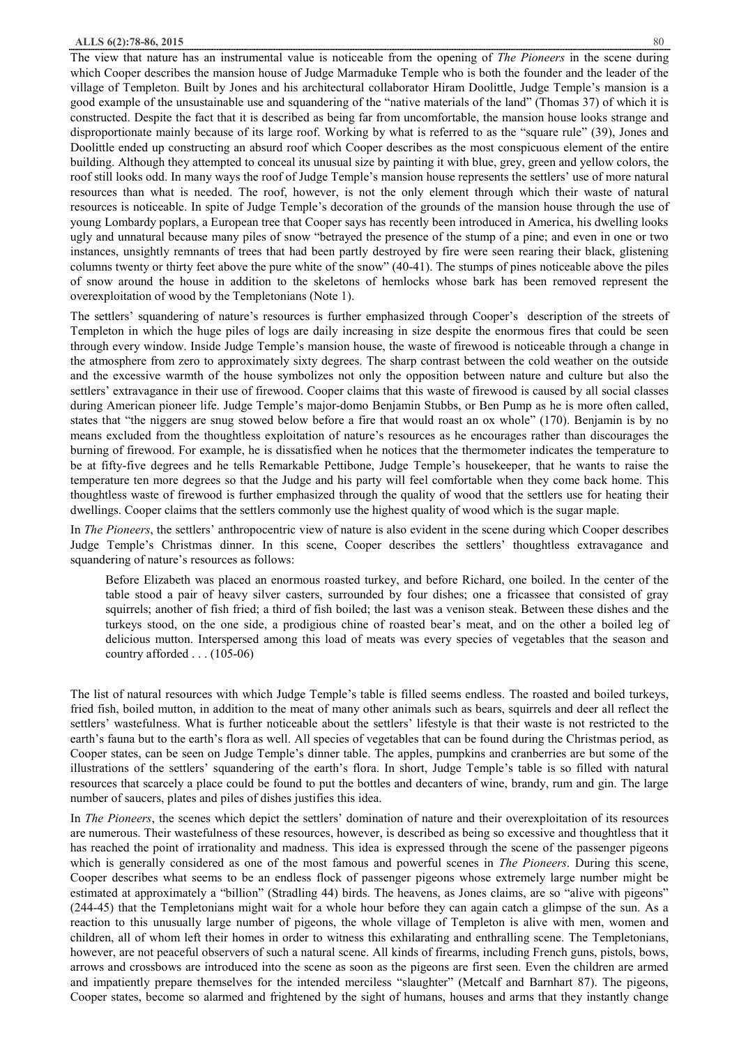The view that nature has an instrumental value is noticeable from the opening of *The Pioneers* in the scene during which Cooper describes the mansion house of Judge Marmaduke Temple who is both the founder and the leader of the village of Templeton. Built by Jones and his architectural collaborator Hiram Doolittle, Judge Temple's mansion is a good example of the unsustainable use and squandering of the "native materials of the land" (Thomas 37) of which it is constructed. Despite the fact that it is described as being far from uncomfortable, the mansion house looks strange and disproportionate mainly because of its large roof. Working by what is referred to as the "square rule" (39), Jones and Doolittle ended up constructing an absurd roof which Cooper describes as the most conspicuous element of the entire building. Although they attempted to conceal its unusual size by painting it with blue, grey, green and yellow colors, the roof still looks odd. In many ways the roof of Judge Temple's mansion house represents the settlers' use of more natural resources than what is needed. The roof, however, is not the only element through which their waste of natural resources is noticeable. In spite of Judge Temple's decoration of the grounds of the mansion house through the use of young Lombardy poplars, a European tree that Cooper says has recently been introduced in America, his dwelling looks ugly and unnatural because many piles of snow "betrayed the presence of the stump of a pine; and even in one or two instances, unsightly remnants of trees that had been partly destroyed by fire were seen rearing their black, glistening columns twenty or thirty feet above the pure white of the snow" (40-41). The stumps of pines noticeable above the piles of snow around the house in addition to the skeletons of hemlocks whose bark has been removed represent the overexploitation of wood by the Templetonians (Note 1).

The settlers' squandering of nature's resources is further emphasized through Cooper's description of the streets of Templeton in which the huge piles of logs are daily increasing in size despite the enormous fires that could be seen through every window. Inside Judge Temple's mansion house, the waste of firewood is noticeable through a change in the atmosphere from zero to approximately sixty degrees. The sharp contrast between the cold weather on the outside and the excessive warmth of the house symbolizes not only the opposition between nature and culture but also the settlers' extravagance in their use of firewood. Cooper claims that this waste of firewood is caused by all social classes during American pioneer life. Judge Temple's major-domo Benjamin Stubbs, or Ben Pump as he is more often called, states that "the niggers are snug stowed below before a fire that would roast an ox whole" (170). Benjamin is by no means excluded from the thoughtless exploitation of nature's resources as he encourages rather than discourages the burning of firewood. For example, he is dissatisfied when he notices that the thermometer indicates the temperature to be at fifty-five degrees and he tells Remarkable Pettibone, Judge Temple's housekeeper, that he wants to raise the temperature ten more degrees so that the Judge and his party will feel comfortable when they come back home. This thoughtless waste of firewood is further emphasized through the quality of wood that the settlers use for heating their dwellings. Cooper claims that the settlers commonly use the highest quality of wood which is the sugar maple.

In *The Pioneers*, the settlers' anthropocentric view of nature is also evident in the scene during which Cooper describes Judge Temple's Christmas dinner. In this scene, Cooper describes the settlers' thoughtless extravagance and squandering of nature's resources as follows:

Before Elizabeth was placed an enormous roasted turkey, and before Richard, one boiled. In the center of the table stood a pair of heavy silver casters, surrounded by four dishes; one a fricassee that consisted of gray squirrels; another of fish fried; a third of fish boiled; the last was a venison steak. Between these dishes and the turkeys stood, on the one side, a prodigious chine of roasted bear's meat, and on the other a boiled leg of delicious mutton. Interspersed among this load of meats was every species of vegetables that the season and country afforded . . . (105-06)

The list of natural resources with which Judge Temple's table is filled seems endless. The roasted and boiled turkeys, fried fish, boiled mutton, in addition to the meat of many other animals such as bears, squirrels and deer all reflect the settlers' wastefulness. What is further noticeable about the settlers' lifestyle is that their waste is not restricted to the earth's fauna but to the earth's flora as well. All species of vegetables that can be found during the Christmas period, as Cooper states, can be seen on Judge Temple's dinner table. The apples, pumpkins and cranberries are but some of the illustrations of the settlers' squandering of the earth's flora. In short, Judge Temple's table is so filled with natural resources that scarcely a place could be found to put the bottles and decanters of wine, brandy, rum and gin. The large number of saucers, plates and piles of dishes justifies this idea.

In *The Pioneers*, the scenes which depict the settlers' domination of nature and their overexploitation of its resources are numerous. Their wastefulness of these resources, however, is described as being so excessive and thoughtless that it has reached the point of irrationality and madness. This idea is expressed through the scene of the passenger pigeons which is generally considered as one of the most famous and powerful scenes in *The Pioneers*. During this scene, Cooper describes what seems to be an endless flock of passenger pigeons whose extremely large number might be estimated at approximately a "billion" (Stradling 44) birds. The heavens, as Jones claims, are so "alive with pigeons" (244-45) that the Templetonians might wait for a whole hour before they can again catch a glimpse of the sun. As a reaction to this unusually large number of pigeons, the whole village of Templeton is alive with men, women and children, all of whom left their homes in order to witness this exhilarating and enthralling scene. The Templetonians, however, are not peaceful observers of such a natural scene. All kinds of firearms, including French guns, pistols, bows, arrows and crossbows are introduced into the scene as soon as the pigeons are first seen. Even the children are armed and impatiently prepare themselves for the intended merciless "slaughter" (Metcalf and Barnhart 87). The pigeons, Cooper states, become so alarmed and frightened by the sight of humans, houses and arms that they instantly change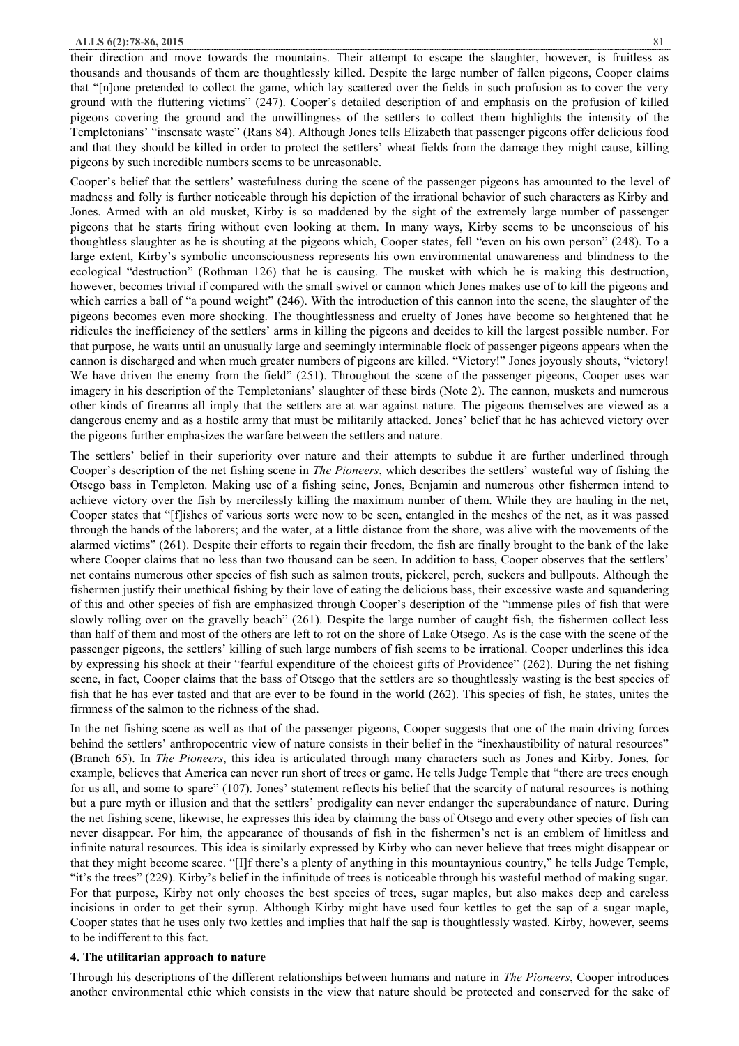their direction and move towards the mountains. Their attempt to escape the slaughter, however, is fruitless as thousands and thousands of them are thoughtlessly killed. Despite the large number of fallen pigeons, Cooper claims that "[n]one pretended to collect the game, which lay scattered over the fields in such profusion as to cover the very ground with the fluttering victims" (247). Cooper's detailed description of and emphasis on the profusion of killed pigeons covering the ground and the unwillingness of the settlers to collect them highlights the intensity of the Templetonians' "insensate waste" (Rans 84). Although Jones tells Elizabeth that passenger pigeons offer delicious food and that they should be killed in order to protect the settlers' wheat fields from the damage they might cause, killing pigeons by such incredible numbers seems to be unreasonable.

Cooper's belief that the settlers' wastefulness during the scene of the passenger pigeons has amounted to the level of madness and folly is further noticeable through his depiction of the irrational behavior of such characters as Kirby and Jones. Armed with an old musket, Kirby is so maddened by the sight of the extremely large number of passenger pigeons that he starts firing without even looking at them. In many ways, Kirby seems to be unconscious of his thoughtless slaughter as he is shouting at the pigeons which, Cooper states, fell "even on his own person" (248). To a large extent, Kirby's symbolic unconsciousness represents his own environmental unawareness and blindness to the ecological "destruction" (Rothman 126) that he is causing. The musket with which he is making this destruction, however, becomes trivial if compared with the small swivel or cannon which Jones makes use of to kill the pigeons and which carries a ball of "a pound weight" (246). With the introduction of this cannon into the scene, the slaughter of the pigeons becomes even more shocking. The thoughtlessness and cruelty of Jones have become so heightened that he ridicules the inefficiency of the settlers' arms in killing the pigeons and decides to kill the largest possible number. For that purpose, he waits until an unusually large and seemingly interminable flock of passenger pigeons appears when the cannon is discharged and when much greater numbers of pigeons are killed. "Victory!" Jones joyously shouts, "victory! We have driven the enemy from the field" (251). Throughout the scene of the passenger pigeons, Cooper uses war imagery in his description of the Templetonians' slaughter of these birds (Note 2). The cannon, muskets and numerous other kinds of firearms all imply that the settlers are at war against nature. The pigeons themselves are viewed as a dangerous enemy and as a hostile army that must be militarily attacked. Jones' belief that he has achieved victory over the pigeons further emphasizes the warfare between the settlers and nature.

The settlers' belief in their superiority over nature and their attempts to subdue it are further underlined through Cooper's description of the net fishing scene in *The Pioneers*, which describes the settlers' wasteful way of fishing the Otsego bass in Templeton. Making use of a fishing seine, Jones, Benjamin and numerous other fishermen intend to achieve victory over the fish by mercilessly killing the maximum number of them. While they are hauling in the net, Cooper states that "[f]ishes of various sorts were now to be seen, entangled in the meshes of the net, as it was passed through the hands of the laborers; and the water, at a little distance from the shore, was alive with the movements of the alarmed victims" (261). Despite their efforts to regain their freedom, the fish are finally brought to the bank of the lake where Cooper claims that no less than two thousand can be seen. In addition to bass, Cooper observes that the settlers' net contains numerous other species of fish such as salmon trouts, pickerel, perch, suckers and bullpouts. Although the fishermen justify their unethical fishing by their love of eating the delicious bass, their excessive waste and squandering of this and other species of fish are emphasized through Cooper's description of the "immense piles of fish that were slowly rolling over on the gravelly beach" (261). Despite the large number of caught fish, the fishermen collect less than half of them and most of the others are left to rot on the shore of Lake Otsego. As is the case with the scene of the passenger pigeons, the settlers' killing of such large numbers of fish seems to be irrational. Cooper underlines this idea by expressing his shock at their "fearful expenditure of the choicest gifts of Providence" (262). During the net fishing scene, in fact, Cooper claims that the bass of Otsego that the settlers are so thoughtlessly wasting is the best species of fish that he has ever tasted and that are ever to be found in the world (262). This species of fish, he states, unites the firmness of the salmon to the richness of the shad.

In the net fishing scene as well as that of the passenger pigeons, Cooper suggests that one of the main driving forces behind the settlers' anthropocentric view of nature consists in their belief in the "inexhaustibility of natural resources" (Branch 65). In *The Pioneers*, this idea is articulated through many characters such as Jones and Kirby. Jones, for example, believes that America can never run short of trees or game. He tells Judge Temple that "there are trees enough for us all, and some to spare" (107). Jones' statement reflects his belief that the scarcity of natural resources is nothing but a pure myth or illusion and that the settlers' prodigality can never endanger the superabundance of nature. During the net fishing scene, likewise, he expresses this idea by claiming the bass of Otsego and every other species of fish can never disappear. For him, the appearance of thousands of fish in the fishermen's net is an emblem of limitless and infinite natural resources. This idea is similarly expressed by Kirby who can never believe that trees might disappear or that they might become scarce. "[I]f there's a plenty of anything in this mountaynious country," he tells Judge Temple, "it's the trees" (229). Kirby's belief in the infinitude of trees is noticeable through his wasteful method of making sugar. For that purpose, Kirby not only chooses the best species of trees, sugar maples, but also makes deep and careless incisions in order to get their syrup. Although Kirby might have used four kettles to get the sap of a sugar maple, Cooper states that he uses only two kettles and implies that half the sap is thoughtlessly wasted. Kirby, however, seems to be indifferent to this fact.

## **4. The utilitarian approach to nature**

Through his descriptions of the different relationships between humans and nature in *The Pioneers*, Cooper introduces another environmental ethic which consists in the view that nature should be protected and conserved for the sake of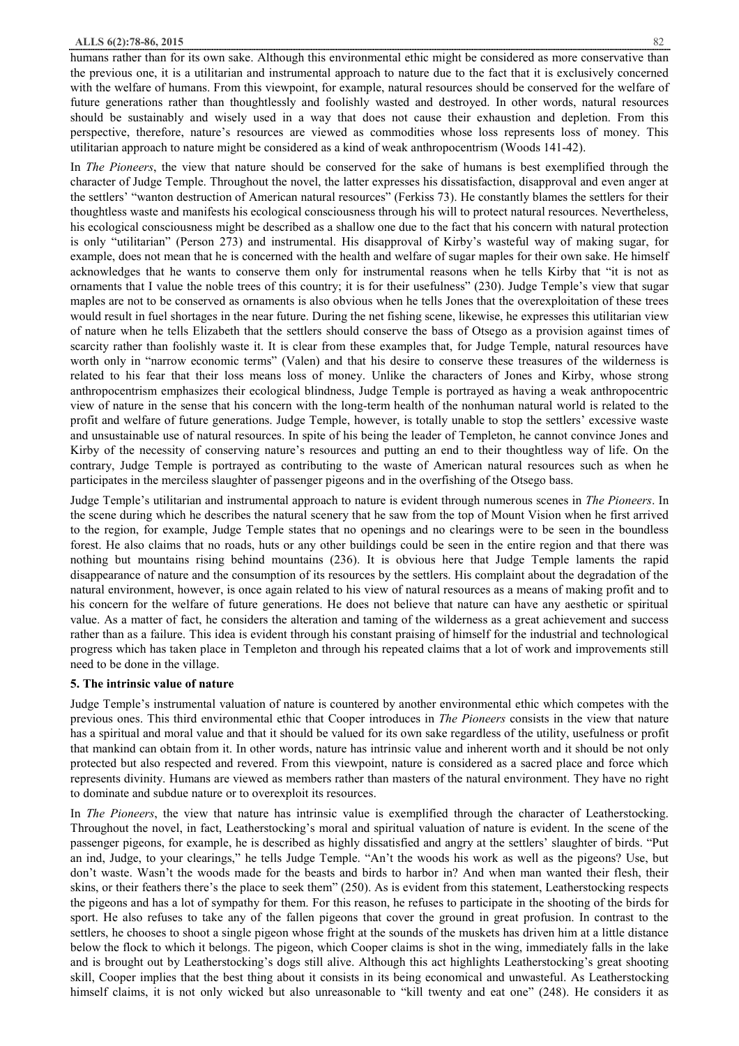humans rather than for its own sake. Although this environmental ethic might be considered as more conservative than the previous one, it is a utilitarian and instrumental approach to nature due to the fact that it is exclusively concerned with the welfare of humans. From this viewpoint, for example, natural resources should be conserved for the welfare of future generations rather than thoughtlessly and foolishly wasted and destroyed. In other words, natural resources should be sustainably and wisely used in a way that does not cause their exhaustion and depletion. From this perspective, therefore, nature's resources are viewed as commodities whose loss represents loss of money. This utilitarian approach to nature might be considered as a kind of weak anthropocentrism (Woods 141-42).

In *The Pioneers*, the view that nature should be conserved for the sake of humans is best exemplified through the character of Judge Temple. Throughout the novel, the latter expresses his dissatisfaction, disapproval and even anger at the settlers' "wanton destruction of American natural resources" (Ferkiss 73). He constantly blames the settlers for their thoughtless waste and manifests his ecological consciousness through his will to protect natural resources. Nevertheless, his ecological consciousness might be described as a shallow one due to the fact that his concern with natural protection is only "utilitarian" (Person 273) and instrumental. His disapproval of Kirby's wasteful way of making sugar, for example, does not mean that he is concerned with the health and welfare of sugar maples for their own sake. He himself acknowledges that he wants to conserve them only for instrumental reasons when he tells Kirby that "it is not as ornaments that I value the noble trees of this country; it is for their usefulness" (230). Judge Temple's view that sugar maples are not to be conserved as ornaments is also obvious when he tells Jones that the overexploitation of these trees would result in fuel shortages in the near future. During the net fishing scene, likewise, he expresses this utilitarian view of nature when he tells Elizabeth that the settlers should conserve the bass of Otsego as a provision against times of scarcity rather than foolishly waste it. It is clear from these examples that, for Judge Temple, natural resources have worth only in "narrow economic terms" (Valen) and that his desire to conserve these treasures of the wilderness is related to his fear that their loss means loss of money. Unlike the characters of Jones and Kirby, whose strong anthropocentrism emphasizes their ecological blindness, Judge Temple is portrayed as having a weak anthropocentric view of nature in the sense that his concern with the long-term health of the nonhuman natural world is related to the profit and welfare of future generations. Judge Temple, however, is totally unable to stop the settlers' excessive waste and unsustainable use of natural resources. In spite of his being the leader of Templeton, he cannot convince Jones and Kirby of the necessity of conserving nature's resources and putting an end to their thoughtless way of life. On the contrary, Judge Temple is portrayed as contributing to the waste of American natural resources such as when he participates in the merciless slaughter of passenger pigeons and in the overfishing of the Otsego bass.

Judge Temple's utilitarian and instrumental approach to nature is evident through numerous scenes in *The Pioneers*. In the scene during which he describes the natural scenery that he saw from the top of Mount Vision when he first arrived to the region, for example, Judge Temple states that no openings and no clearings were to be seen in the boundless forest. He also claims that no roads, huts or any other buildings could be seen in the entire region and that there was nothing but mountains rising behind mountains (236). It is obvious here that Judge Temple laments the rapid disappearance of nature and the consumption of its resources by the settlers. His complaint about the degradation of the natural environment, however, is once again related to his view of natural resources as a means of making profit and to his concern for the welfare of future generations. He does not believe that nature can have any aesthetic or spiritual value. As a matter of fact, he considers the alteration and taming of the wilderness as a great achievement and success rather than as a failure. This idea is evident through his constant praising of himself for the industrial and technological progress which has taken place in Templeton and through his repeated claims that a lot of work and improvements still need to be done in the village.

## **5. The intrinsic value of nature**

Judge Temple's instrumental valuation of nature is countered by another environmental ethic which competes with the previous ones. This third environmental ethic that Cooper introduces in *The Pioneers* consists in the view that nature has a spiritual and moral value and that it should be valued for its own sake regardless of the utility, usefulness or profit that mankind can obtain from it. In other words, nature has intrinsic value and inherent worth and it should be not only protected but also respected and revered. From this viewpoint, nature is considered as a sacred place and force which represents divinity. Humans are viewed as members rather than masters of the natural environment. They have no right to dominate and subdue nature or to overexploit its resources.

In *The Pioneers*, the view that nature has intrinsic value is exemplified through the character of Leatherstocking. Throughout the novel, in fact, Leatherstocking's moral and spiritual valuation of nature is evident. In the scene of the passenger pigeons, for example, he is described as highly dissatisfied and angry at the settlers' slaughter of birds. "Put an ind, Judge, to your clearings," he tells Judge Temple. "An't the woods his work as well as the pigeons? Use, but don't waste. Wasn't the woods made for the beasts and birds to harbor in? And when man wanted their flesh, their skins, or their feathers there's the place to seek them" (250). As is evident from this statement, Leatherstocking respects the pigeons and has a lot of sympathy for them. For this reason, he refuses to participate in the shooting of the birds for sport. He also refuses to take any of the fallen pigeons that cover the ground in great profusion. In contrast to the settlers, he chooses to shoot a single pigeon whose fright at the sounds of the muskets has driven him at a little distance below the flock to which it belongs. The pigeon, which Cooper claims is shot in the wing, immediately falls in the lake and is brought out by Leatherstocking's dogs still alive. Although this act highlights Leatherstocking's great shooting skill, Cooper implies that the best thing about it consists in its being economical and unwasteful. As Leatherstocking himself claims, it is not only wicked but also unreasonable to "kill twenty and eat one" (248). He considers it as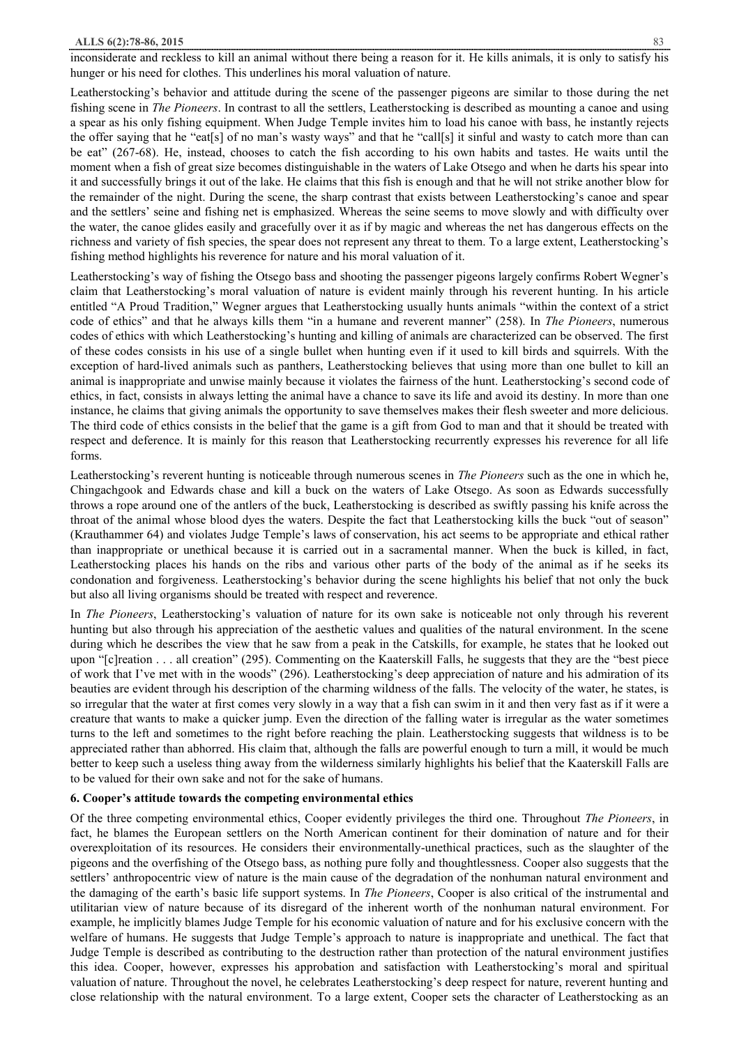inconsiderate and reckless to kill an animal without there being a reason for it. He kills animals, it is only to satisfy his hunger or his need for clothes. This underlines his moral valuation of nature.

Leatherstocking's behavior and attitude during the scene of the passenger pigeons are similar to those during the net fishing scene in *The Pioneers*. In contrast to all the settlers, Leatherstocking is described as mounting a canoe and using a spear as his only fishing equipment. When Judge Temple invites him to load his canoe with bass, he instantly rejects the offer saying that he "eat[s] of no man's wasty ways" and that he "call[s] it sinful and wasty to catch more than can be eat" (267-68). He, instead, chooses to catch the fish according to his own habits and tastes. He waits until the moment when a fish of great size becomes distinguishable in the waters of Lake Otsego and when he darts his spear into it and successfully brings it out of the lake. He claims that this fish is enough and that he will not strike another blow for the remainder of the night. During the scene, the sharp contrast that exists between Leatherstocking's canoe and spear and the settlers' seine and fishing net is emphasized. Whereas the seine seems to move slowly and with difficulty over the water, the canoe glides easily and gracefully over it as if by magic and whereas the net has dangerous effects on the richness and variety of fish species, the spear does not represent any threat to them. To a large extent, Leatherstocking's fishing method highlights his reverence for nature and his moral valuation of it.

Leatherstocking's way of fishing the Otsego bass and shooting the passenger pigeons largely confirms Robert Wegner's claim that Leatherstocking's moral valuation of nature is evident mainly through his reverent hunting. In his article entitled "A Proud Tradition," Wegner argues that Leatherstocking usually hunts animals "within the context of a strict code of ethics" and that he always kills them "in a humane and reverent manner" (258). In *The Pioneers*, numerous codes of ethics with which Leatherstocking's hunting and killing of animals are characterized can be observed. The first of these codes consists in his use of a single bullet when hunting even if it used to kill birds and squirrels. With the exception of hard-lived animals such as panthers, Leatherstocking believes that using more than one bullet to kill an animal is inappropriate and unwise mainly because it violates the fairness of the hunt. Leatherstocking's second code of ethics, in fact, consists in always letting the animal have a chance to save its life and avoid its destiny. In more than one instance, he claims that giving animals the opportunity to save themselves makes their flesh sweeter and more delicious. The third code of ethics consists in the belief that the game is a gift from God to man and that it should be treated with respect and deference. It is mainly for this reason that Leatherstocking recurrently expresses his reverence for all life forms.

Leatherstocking's reverent hunting is noticeable through numerous scenes in *The Pioneers* such as the one in which he, Chingachgook and Edwards chase and kill a buck on the waters of Lake Otsego. As soon as Edwards successfully throws a rope around one of the antlers of the buck, Leatherstocking is described as swiftly passing his knife across the throat of the animal whose blood dyes the waters. Despite the fact that Leatherstocking kills the buck "out of season" (Krauthammer 64) and violates Judge Temple's laws of conservation, his act seems to be appropriate and ethical rather than inappropriate or unethical because it is carried out in a sacramental manner. When the buck is killed, in fact, Leatherstocking places his hands on the ribs and various other parts of the body of the animal as if he seeks its condonation and forgiveness. Leatherstocking's behavior during the scene highlights his belief that not only the buck but also all living organisms should be treated with respect and reverence.

In *The Pioneers*, Leatherstocking's valuation of nature for its own sake is noticeable not only through his reverent hunting but also through his appreciation of the aesthetic values and qualities of the natural environment. In the scene during which he describes the view that he saw from a peak in the Catskills, for example, he states that he looked out upon "[c]reation . . . all creation" (295). Commenting on the Kaaterskill Falls, he suggests that they are the "best piece of work that I've met with in the woods" (296). Leatherstocking's deep appreciation of nature and his admiration of its beauties are evident through his description of the charming wildness of the falls. The velocity of the water, he states, is so irregular that the water at first comes very slowly in a way that a fish can swim in it and then very fast as if it were a creature that wants to make a quicker jump. Even the direction of the falling water is irregular as the water sometimes turns to the left and sometimes to the right before reaching the plain. Leatherstocking suggests that wildness is to be appreciated rather than abhorred. His claim that, although the falls are powerful enough to turn a mill, it would be much better to keep such a useless thing away from the wilderness similarly highlights his belief that the Kaaterskill Falls are to be valued for their own sake and not for the sake of humans.

## **6. Cooper's attitude towards the competing environmental ethics**

Of the three competing environmental ethics, Cooper evidently privileges the third one. Throughout *The Pioneers*, in fact, he blames the European settlers on the North American continent for their domination of nature and for their overexploitation of its resources. He considers their environmentally-unethical practices, such as the slaughter of the pigeons and the overfishing of the Otsego bass, as nothing pure folly and thoughtlessness. Cooper also suggests that the settlers' anthropocentric view of nature is the main cause of the degradation of the nonhuman natural environment and the damaging of the earth's basic life support systems. In *The Pioneers*, Cooper is also critical of the instrumental and utilitarian view of nature because of its disregard of the inherent worth of the nonhuman natural environment. For example, he implicitly blames Judge Temple for his economic valuation of nature and for his exclusive concern with the welfare of humans. He suggests that Judge Temple's approach to nature is inappropriate and unethical. The fact that Judge Temple is described as contributing to the destruction rather than protection of the natural environment justifies this idea. Cooper, however, expresses his approbation and satisfaction with Leatherstocking's moral and spiritual valuation of nature. Throughout the novel, he celebrates Leatherstocking's deep respect for nature, reverent hunting and close relationship with the natural environment. To a large extent, Cooper sets the character of Leatherstocking as an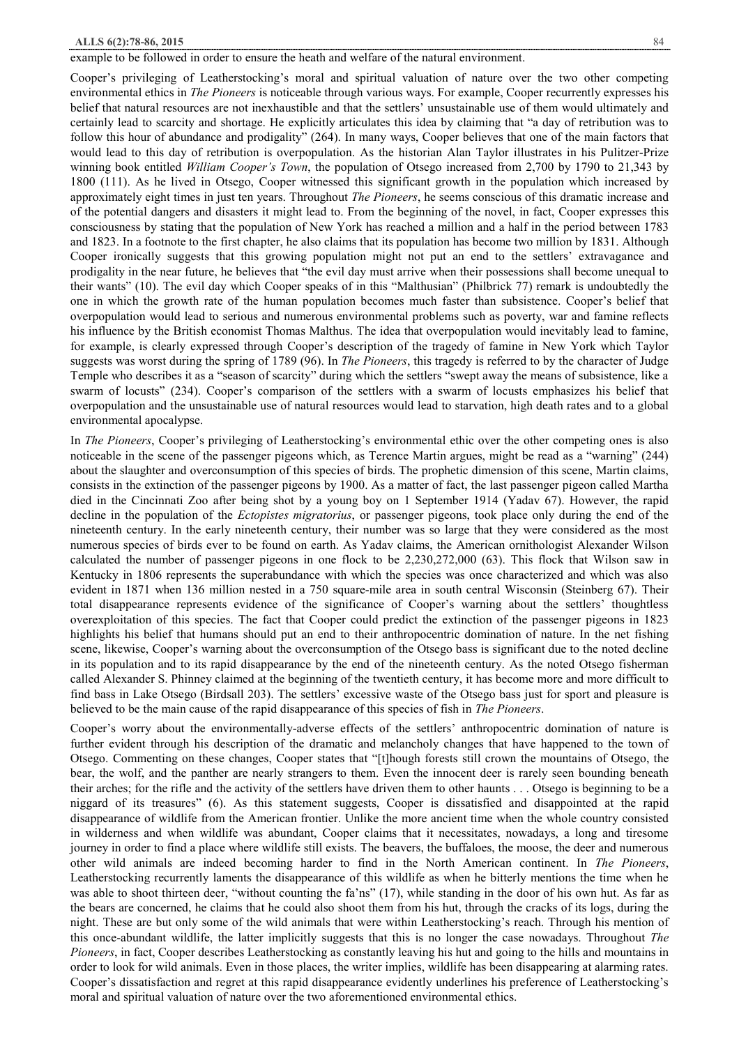#### **ALLS 6(2):78-86, 2015** 84

#### example to be followed in order to ensure the heath and welfare of the natural environment.

Cooper's privileging of Leatherstocking's moral and spiritual valuation of nature over the two other competing environmental ethics in *The Pioneers* is noticeable through various ways. For example, Cooper recurrently expresses his belief that natural resources are not inexhaustible and that the settlers' unsustainable use of them would ultimately and certainly lead to scarcity and shortage. He explicitly articulates this idea by claiming that "a day of retribution was to follow this hour of abundance and prodigality" (264). In many ways, Cooper believes that one of the main factors that would lead to this day of retribution is overpopulation. As the historian Alan Taylor illustrates in his Pulitzer-Prize winning book entitled *William Cooper's Town*, the population of Otsego increased from 2,700 by 1790 to 21,343 by 1800 (111). As he lived in Otsego, Cooper witnessed this significant growth in the population which increased by approximately eight times in just ten years. Throughout *The Pioneers*, he seems conscious of this dramatic increase and of the potential dangers and disasters it might lead to. From the beginning of the novel, in fact, Cooper expresses this consciousness by stating that the population of New York has reached a million and a half in the period between 1783 and 1823. In a footnote to the first chapter, he also claims that its population has become two million by 1831. Although Cooper ironically suggests that this growing population might not put an end to the settlers' extravagance and prodigality in the near future, he believes that "the evil day must arrive when their possessions shall become unequal to their wants" (10). The evil day which Cooper speaks of in this "Malthusian" (Philbrick 77) remark is undoubtedly the one in which the growth rate of the human population becomes much faster than subsistence. Cooper's belief that overpopulation would lead to serious and numerous environmental problems such as poverty, war and famine reflects his influence by the British economist Thomas Malthus. The idea that overpopulation would inevitably lead to famine, for example, is clearly expressed through Cooper's description of the tragedy of famine in New York which Taylor suggests was worst during the spring of 1789 (96). In *The Pioneers*, this tragedy is referred to by the character of Judge Temple who describes it as a "season of scarcity" during which the settlers "swept away the means of subsistence, like a swarm of locusts" (234). Cooper's comparison of the settlers with a swarm of locusts emphasizes his belief that overpopulation and the unsustainable use of natural resources would lead to starvation, high death rates and to a global environmental apocalypse.

In *The Pioneers*, Cooper's privileging of Leatherstocking's environmental ethic over the other competing ones is also noticeable in the scene of the passenger pigeons which, as Terence Martin argues, might be read as a "warning" (244) about the slaughter and overconsumption of this species of birds. The prophetic dimension of this scene, Martin claims, consists in the extinction of the passenger pigeons by 1900. As a matter of fact, the last passenger pigeon called Martha died in the Cincinnati Zoo after being shot by a young boy on 1 September 1914 (Yadav 67). However, the rapid decline in the population of the *Ectopistes migratorius*, or passenger pigeons, took place only during the end of the nineteenth century. In the early nineteenth century, their number was so large that they were considered as the most numerous species of birds ever to be found on earth. As Yadav claims, the American ornithologist Alexander Wilson calculated the number of passenger pigeons in one flock to be 2,230,272,000 (63). This flock that Wilson saw in Kentucky in 1806 represents the superabundance with which the species was once characterized and which was also evident in 1871 when 136 million nested in a 750 square-mile area in south central Wisconsin (Steinberg 67). Their total disappearance represents evidence of the significance of Cooper's warning about the settlers' thoughtless overexploitation of this species. The fact that Cooper could predict the extinction of the passenger pigeons in 1823 highlights his belief that humans should put an end to their anthropocentric domination of nature. In the net fishing scene, likewise, Cooper's warning about the overconsumption of the Otsego bass is significant due to the noted decline in its population and to its rapid disappearance by the end of the nineteenth century. As the noted Otsego fisherman called Alexander S. Phinney claimed at the beginning of the twentieth century, it has become more and more difficult to find bass in Lake Otsego (Birdsall 203). The settlers' excessive waste of the Otsego bass just for sport and pleasure is believed to be the main cause of the rapid disappearance of this species of fish in *The Pioneers*.

Cooper's worry about the environmentally-adverse effects of the settlers' anthropocentric domination of nature is further evident through his description of the dramatic and melancholy changes that have happened to the town of Otsego. Commenting on these changes, Cooper states that "[t]hough forests still crown the mountains of Otsego, the bear, the wolf, and the panther are nearly strangers to them. Even the innocent deer is rarely seen bounding beneath their arches; for the rifle and the activity of the settlers have driven them to other haunts . . . Otsego is beginning to be a niggard of its treasures" (6). As this statement suggests, Cooper is dissatisfied and disappointed at the rapid disappearance of wildlife from the American frontier. Unlike the more ancient time when the whole country consisted in wilderness and when wildlife was abundant, Cooper claims that it necessitates, nowadays, a long and tiresome journey in order to find a place where wildlife still exists. The beavers, the buffaloes, the moose, the deer and numerous other wild animals are indeed becoming harder to find in the North American continent. In *The Pioneers*, Leatherstocking recurrently laments the disappearance of this wildlife as when he bitterly mentions the time when he was able to shoot thirteen deer, "without counting the fa'ns" (17), while standing in the door of his own hut. As far as the bears are concerned, he claims that he could also shoot them from his hut, through the cracks of its logs, during the night. These are but only some of the wild animals that were within Leatherstocking's reach. Through his mention of this once-abundant wildlife, the latter implicitly suggests that this is no longer the case nowadays. Throughout *The Pioneers*, in fact, Cooper describes Leatherstocking as constantly leaving his hut and going to the hills and mountains in order to look for wild animals. Even in those places, the writer implies, wildlife has been disappearing at alarming rates. Cooper's dissatisfaction and regret at this rapid disappearance evidently underlines his preference of Leatherstocking's moral and spiritual valuation of nature over the two aforementioned environmental ethics.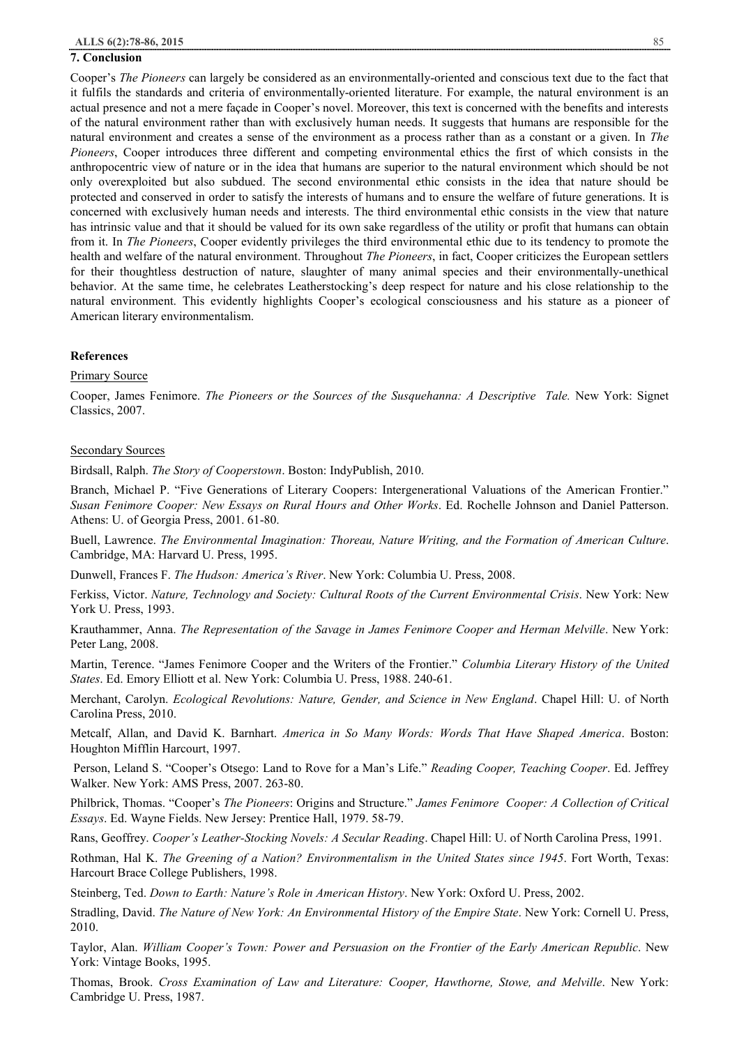#### **7. Conclusion**

Cooper's *The Pioneers* can largely be considered as an environmentally-oriented and conscious text due to the fact that it fulfils the standards and criteria of environmentally-oriented literature. For example, the natural environment is an actual presence and not a mere façade in Cooper's novel. Moreover, this text is concerned with the benefits and interests of the natural environment rather than with exclusively human needs. It suggests that humans are responsible for the natural environment and creates a sense of the environment as a process rather than as a constant or a given. In *The Pioneers*, Cooper introduces three different and competing environmental ethics the first of which consists in the anthropocentric view of nature or in the idea that humans are superior to the natural environment which should be not only overexploited but also subdued. The second environmental ethic consists in the idea that nature should be protected and conserved in order to satisfy the interests of humans and to ensure the welfare of future generations. It is concerned with exclusively human needs and interests. The third environmental ethic consists in the view that nature has intrinsic value and that it should be valued for its own sake regardless of the utility or profit that humans can obtain from it. In *The Pioneers*, Cooper evidently privileges the third environmental ethic due to its tendency to promote the health and welfare of the natural environment. Throughout *The Pioneers*, in fact, Cooper criticizes the European settlers for their thoughtless destruction of nature, slaughter of many animal species and their environmentally-unethical behavior. At the same time, he celebrates Leatherstocking's deep respect for nature and his close relationship to the natural environment. This evidently highlights Cooper's ecological consciousness and his stature as a pioneer of American literary environmentalism.

## **References**

## Primary Source

Cooper, James Fenimore. *The Pioneers or the Sources of the Susquehanna: A Descriptive Tale.* New York: Signet Classics, 2007.

#### Secondary Sources

Birdsall, Ralph. *The Story of Cooperstown*. Boston: IndyPublish, 2010.

Branch, Michael P. "Five Generations of Literary Coopers: Intergenerational Valuations of the American Frontier." *Susan Fenimore Cooper: New Essays on Rural Hours and Other Works*. Ed. Rochelle Johnson and Daniel Patterson. Athens: U. of Georgia Press, 2001. 61-80.

Buell, Lawrence. *The Environmental Imagination: Thoreau, Nature Writing, and the Formation of American Culture*. Cambridge, MA: Harvard U. Press, 1995.

Dunwell, Frances F. *The Hudson: America's River*. New York: Columbia U. Press, 2008.

Ferkiss, Victor. *Nature, Technology and Society: Cultural Roots of the Current Environmental Crisis*. New York: New York U. Press, 1993.

Krauthammer, Anna. *The Representation of the Savage in James Fenimore Cooper and Herman Melville*. New York: Peter Lang, 2008.

Martin, Terence. "James Fenimore Cooper and the Writers of the Frontier." *Columbia Literary History of the United States*. Ed. Emory Elliott et al. New York: Columbia U. Press, 1988. 240-61.

Merchant, Carolyn. *Ecological Revolutions: Nature, Gender, and Science in New England*. Chapel Hill: U. of North Carolina Press, 2010.

Metcalf, Allan, and David K. Barnhart. *America in So Many Words: Words That Have Shaped America*. Boston: Houghton Mifflin Harcourt, 1997.

Person, Leland S. "Cooper's Otsego: Land to Rove for a Man's Life." *Reading Cooper, Teaching Cooper*. Ed. Jeffrey Walker. New York: AMS Press, 2007. 263-80.

Philbrick, Thomas. "Cooper's *The Pioneers*: Origins and Structure." *James Fenimore Cooper: A Collection of Critical Essays*. Ed. Wayne Fields. New Jersey: Prentice Hall, 1979. 58-79.

Rans, Geoffrey. *Cooper's Leather-Stocking Novels: A Secular Reading*. Chapel Hill: U. of North Carolina Press, 1991.

Rothman, Hal K. *The Greening of a Nation? Environmentalism in the United States since 1945*. Fort Worth, Texas: Harcourt Brace College Publishers, 1998.

Steinberg, Ted. *Down to Earth: Nature's Role in American History*. New York: Oxford U. Press, 2002.

Stradling, David. *The Nature of New York: An Environmental History of the Empire State*. New York: Cornell U. Press, 2010.

Taylor, Alan. *William Cooper's Town: Power and Persuasion on the Frontier of the Early American Republic*. New York: Vintage Books, 1995.

Thomas, Brook. *Cross Examination of Law and Literature: Cooper, Hawthorne, Stowe, and Melville*. New York: Cambridge U. Press, 1987.